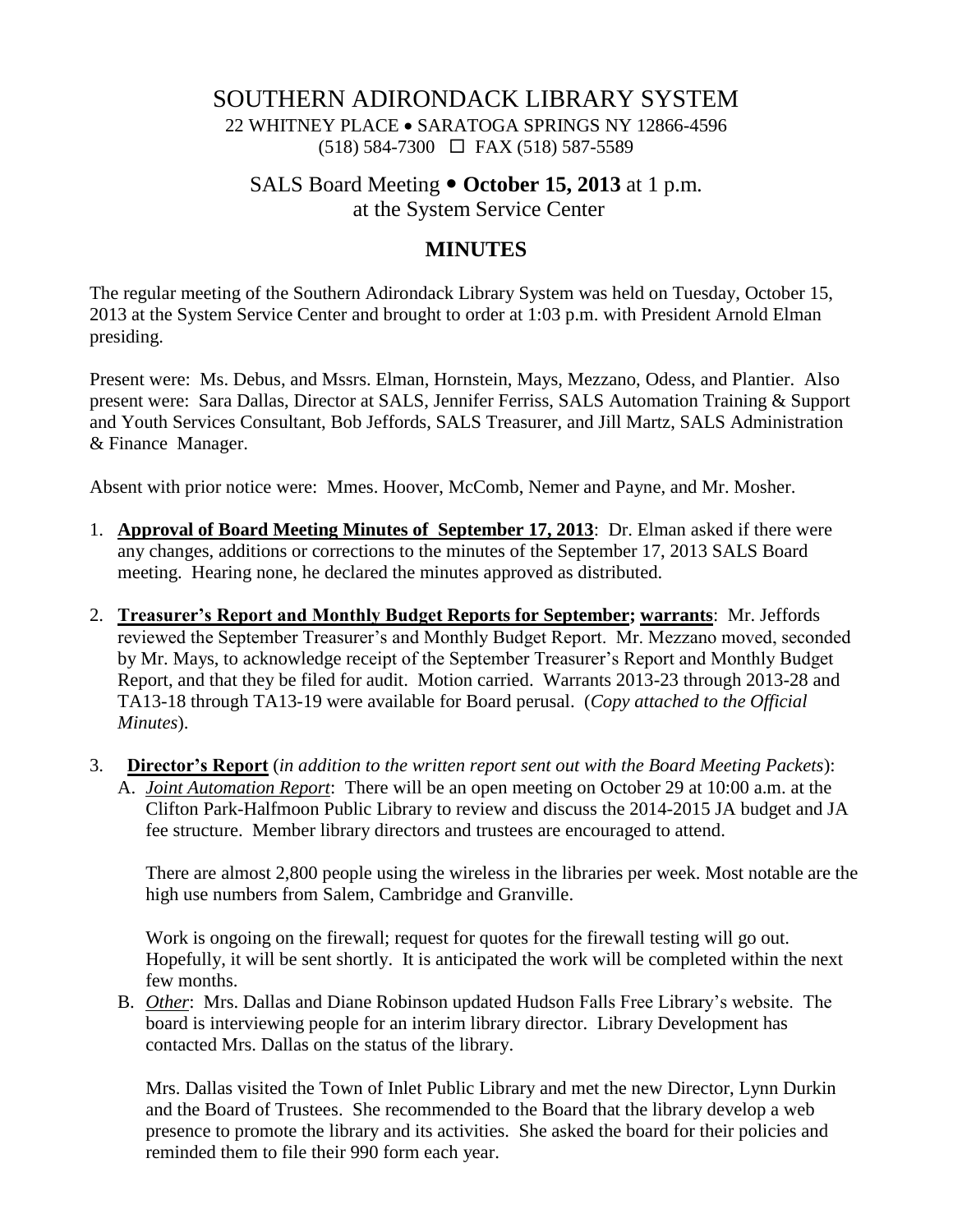## SOUTHERN ADIRONDACK LIBRARY SYSTEM

22 WHITNEY PLACE • SARATOGA SPRINGS NY 12866-4596  $(518)$  584-7300  $\Box$  FAX (518) 587-5589

# SALS Board Meeting  $\bullet$  October 15, 2013 at 1 p.m.

at the System Service Center

#### **MINUTES**

The regular meeting of the Southern Adirondack Library System was held on Tuesday, October 15, 2013 at the System Service Center and brought to order at 1:03 p.m. with President Arnold Elman presiding.

Present were: Ms. Debus, and Mssrs. Elman, Hornstein, Mays, Mezzano, Odess, and Plantier. Also present were: Sara Dallas, Director at SALS, Jennifer Ferriss, SALS Automation Training & Support and Youth Services Consultant, Bob Jeffords, SALS Treasurer, and Jill Martz, SALS Administration & Finance Manager.

Absent with prior notice were: Mmes. Hoover, McComb, Nemer and Payne, and Mr. Mosher.

- 1. **Approval of Board Meeting Minutes of September 17, 2013**: Dr. Elman asked if there were any changes, additions or corrections to the minutes of the September 17, 2013 SALS Board meeting. Hearing none, he declared the minutes approved as distributed.
- 2. **Treasurer's Report and Monthly Budget Reports for September; warrants**: Mr. Jeffords reviewed the September Treasurer's and Monthly Budget Report. Mr. Mezzano moved, seconded by Mr. Mays, to acknowledge receipt of the September Treasurer's Report and Monthly Budget Report, and that they be filed for audit. Motion carried. Warrants 2013-23 through 2013-28 and TA13-18 through TA13-19 were available for Board perusal. (*Copy attached to the Official Minutes*).
- 3. **Director's Report** (*in addition to the written report sent out with the Board Meeting Packets*): A. *Joint Automation Report*: There will be an open meeting on October 29 at 10:00 a.m. at the Clifton Park-Halfmoon Public Library to review and discuss the 2014-2015 JA budget and JA fee structure. Member library directors and trustees are encouraged to attend.

There are almost 2,800 people using the wireless in the libraries per week. Most notable are the high use numbers from Salem, Cambridge and Granville.

Work is ongoing on the firewall; request for quotes for the firewall testing will go out. Hopefully, it will be sent shortly. It is anticipated the work will be completed within the next few months.

B. *Other*: Mrs. Dallas and Diane Robinson updated Hudson Falls Free Library's website. The board is interviewing people for an interim library director. Library Development has contacted Mrs. Dallas on the status of the library.

Mrs. Dallas visited the Town of Inlet Public Library and met the new Director, Lynn Durkin and the Board of Trustees. She recommended to the Board that the library develop a web presence to promote the library and its activities. She asked the board for their policies and reminded them to file their 990 form each year.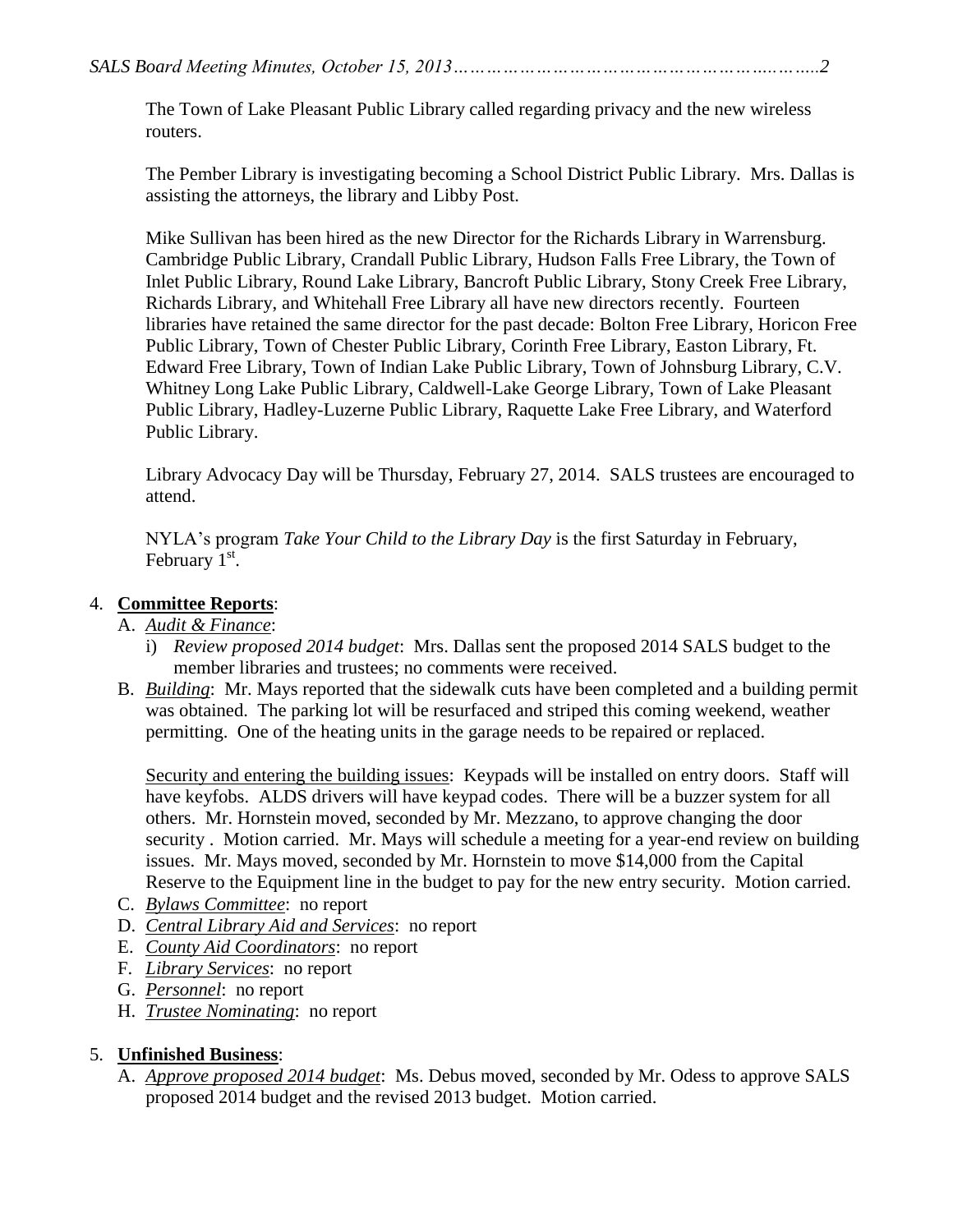The Town of Lake Pleasant Public Library called regarding privacy and the new wireless routers.

The Pember Library is investigating becoming a School District Public Library. Mrs. Dallas is assisting the attorneys, the library and Libby Post.

Mike Sullivan has been hired as the new Director for the Richards Library in Warrensburg. Cambridge Public Library, Crandall Public Library, Hudson Falls Free Library, the Town of Inlet Public Library, Round Lake Library, Bancroft Public Library, Stony Creek Free Library, Richards Library, and Whitehall Free Library all have new directors recently. Fourteen libraries have retained the same director for the past decade: Bolton Free Library, Horicon Free Public Library, Town of Chester Public Library, Corinth Free Library, Easton Library, Ft. Edward Free Library, Town of Indian Lake Public Library, Town of Johnsburg Library, C.V. Whitney Long Lake Public Library, Caldwell-Lake George Library, Town of Lake Pleasant Public Library, Hadley-Luzerne Public Library, Raquette Lake Free Library, and Waterford Public Library.

Library Advocacy Day will be Thursday, February 27, 2014. SALS trustees are encouraged to attend.

NYLA's program *Take Your Child to the Library Day* is the first Saturday in February, February  $1<sup>st</sup>$ .

### 4. **Committee Reports**:

- A. *Audit & Finance*:
	- i) *Review proposed 2014 budget*: Mrs. Dallas sent the proposed 2014 SALS budget to the member libraries and trustees; no comments were received.
- B. *Building*: Mr. Mays reported that the sidewalk cuts have been completed and a building permit was obtained. The parking lot will be resurfaced and striped this coming weekend, weather permitting. One of the heating units in the garage needs to be repaired or replaced.

Security and entering the building issues: Keypads will be installed on entry doors. Staff will have keyfobs. ALDS drivers will have keypad codes. There will be a buzzer system for all others. Mr. Hornstein moved, seconded by Mr. Mezzano, to approve changing the door security . Motion carried. Mr. Mays will schedule a meeting for a year-end review on building issues. Mr. Mays moved, seconded by Mr. Hornstein to move \$14,000 from the Capital Reserve to the Equipment line in the budget to pay for the new entry security. Motion carried.

- C. *Bylaws Committee*: no report
- D. *Central Library Aid and Services*: no report
- E. *County Aid Coordinators*: no report
- F. *Library Services*: no report
- G. *Personnel*: no report
- H. *Trustee Nominating*: no report

#### 5. **Unfinished Business**:

A. *Approve proposed 2014 budget*: Ms. Debus moved, seconded by Mr. Odess to approve SALS proposed 2014 budget and the revised 2013 budget. Motion carried.